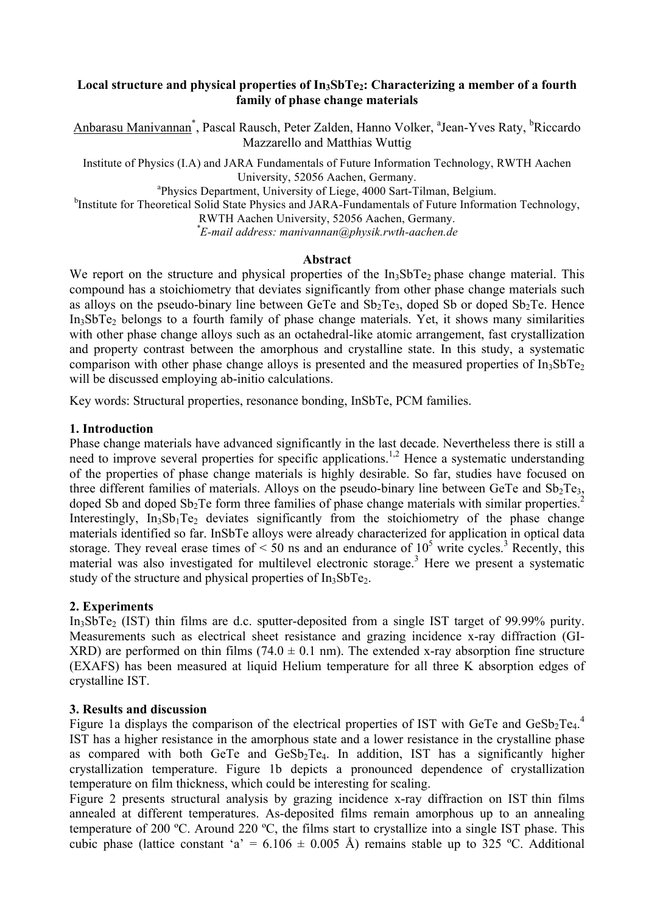## Local structure and physical properties of In<sub>3</sub>SbTe<sub>2</sub>: Characterizing a member of a fourth **family of phase change materials**

Anbarasu Manivannan<sup>\*</sup>, Pascal Rausch, Peter Zalden, Hanno Volker, <sup>a</sup>Jean-Yves Raty, <sup>b</sup>Riccardo Mazzarello and Matthias Wuttig

Institute of Physics (I.A) and JARA Fundamentals of Future Information Technology, RWTH Aachen University, 52056 Aachen, Germany.<br><sup>a</sup>Physics Department, University of Liege, 4000 Sart-Tilman, Belgium.

<sup>b</sup>Institute for Theoretical Solid State Physics and JARA-Fundamentals of Future Information Technology,

RWTH Aachen University, 52056 Aachen, Germany. *\* E-mail address: manivannan@physik.rwth-aachen.de* 

### **Abstract**

We report on the structure and physical properties of the In<sub>3</sub>SbTe<sub>2</sub> phase change material. This compound has a stoichiometry that deviates significantly from other phase change materials such as alloys on the pseudo-binary line between GeTe and  $Sb_2Te_3$ , doped Sb or doped  $Sb_2Te$ . Hence  $In<sub>3</sub>SbTe<sub>2</sub>$  belongs to a fourth family of phase change materials. Yet, it shows many similarities with other phase change alloys such as an octahedral-like atomic arrangement, fast crystallization and property contrast between the amorphous and crystalline state. In this study, a systematic comparison with other phase change alloys is presented and the measured properties of  $In<sub>3</sub>SbTe<sub>2</sub>$ will be discussed employing ab-initio calculations.

Key words: Structural properties, resonance bonding, InSbTe, PCM families.

## **1. Introduction**

Phase change materials have advanced significantly in the last decade. Nevertheless there is still a need to improve several properties for specific applications.<sup>1,2</sup> Hence a systematic understanding of the properties of phase change materials is highly desirable. So far, studies have focused on three different families of materials. Alloys on the pseudo-binary line between GeTe and  $Sb_2Te_3$ , doped Sb and doped  $Sb_2$ Te form three families of phase change materials with similar properties.<sup>2</sup> Interestingly,  $In<sub>3</sub>Sh<sub>1</sub>Te<sub>2</sub>$  deviates significantly from the stoichiometry of the phase change materials identified so far. InSbTe alloys were already characterized for application in optical data storage. They reveal erase times of  $\leq 50$  ns and an endurance of  $10^5$  write cycles.<sup>3</sup> Recently, this material was also investigated for multilevel electronic storage.<sup>3</sup> Here we present a systematic study of the structure and physical properties of  $In<sub>3</sub>SbTe<sub>2</sub>$ .

# **2. Experiments**

In3SbTe2 (IST) thin films are d.c. sputter-deposited from a single IST target of 99.99% purity. Measurements such as electrical sheet resistance and grazing incidence x-ray diffraction (GI-XRD) are performed on thin films (74.0  $\pm$  0.1 nm). The extended x-ray absorption fine structure (EXAFS) has been measured at liquid Helium temperature for all three K absorption edges of crystalline IST.

### **3. Results and discussion**

Figure 1a displays the comparison of the electrical properties of IST with GeTe and  $\text{GeSb}_2\text{Te}_4$ . IST has a higher resistance in the amorphous state and a lower resistance in the crystalline phase as compared with both GeTe and  $GeSb<sub>2</sub>Te<sub>4</sub>$ . In addition, IST has a significantly higher crystallization temperature. Figure 1b depicts a pronounced dependence of crystallization temperature on film thickness, which could be interesting for scaling.

Figure 2 presents structural analysis by grazing incidence x-ray diffraction on IST thin films annealed at different temperatures. As-deposited films remain amorphous up to an annealing temperature of 200 ºC. Around 220 ºC, the films start to crystallize into a single IST phase. This cubic phase (lattice constant 'a' =  $6.106 \pm 0.005$  Å) remains stable up to 325 °C. Additional